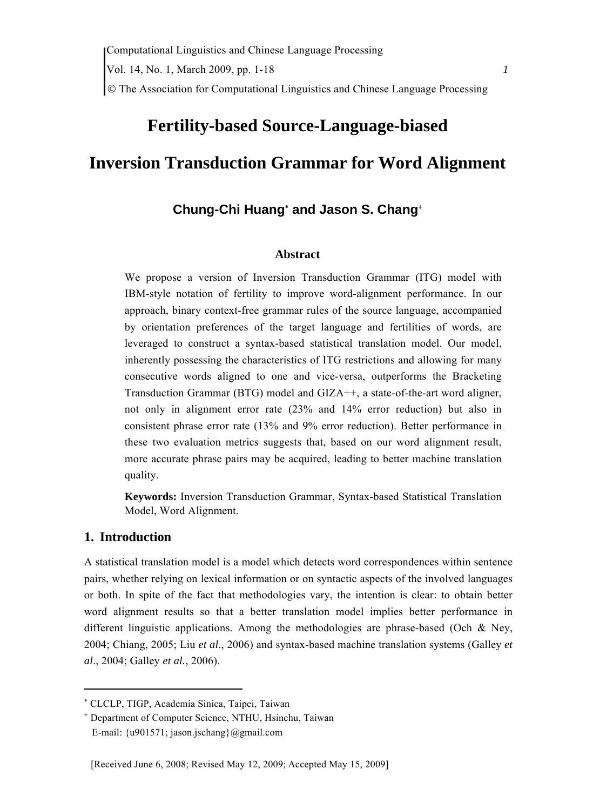© The Association for Computational Linguistics and Chinese Language Processing

# **Fertility-based Source-Language-biased Inversion Transduction Grammar for Word Alignment**

# **Chung-Chi Huang**<sup>∗</sup>  **and Jason S. Chang**<sup>+</sup>

#### **Abstract**

We propose a version of Inversion Transduction Grammar (ITG) model with IBM-style notation of fertility to improve word-alignment performance. In our approach, binary context-free grammar rules of the source language, accompanied by orientation preferences of the target language and fertilities of words, are leveraged to construct a syntax-based statistical translation model. Our model, inherently possessing the characteristics of ITG restrictions and allowing for many consecutive words aligned to one and vice-versa, outperforms the Bracketing Transduction Grammar (BTG) model and GIZA++, a state-of-the-art word aligner, not only in alignment error rate (23% and 14% error reduction) but also in consistent phrase error rate (13% and 9% error reduction). Better performance in these two evaluation metrics suggests that, based on our word alignment result, more accurate phrase pairs may be acquired, leading to better machine translation quality.

**Keywords:** Inversion Transduction Grammar, Syntax-based Statistical Translation Model, Word Alignment.

#### **1. Introduction**

A statistical translation model is a model which detects word correspondences within sentence pairs, whether relying on lexical information or on syntactic aspects of the involved languages or both. In spite of the fact that methodologies vary, the intention is clear: to obtain better word alignment results so that a better translation model implies better performance in different linguistic applications. Among the methodologies are phrase-based (Och & Ney, 2004; Chiang, 2005; Liu *et al*., 2006) and syntax-based machine translation systems (Galley *et al*., 2004; Galley *et al.*, 2006).

<sup>∗</sup> CLCLP, TIGP, Academia Sinica, Taipei, Taiwan

<sup>+</sup> Department of Computer Science, NTHU, Hsinchu, Taiwan E-mail: {u901571; jason.jschang}@gmail.com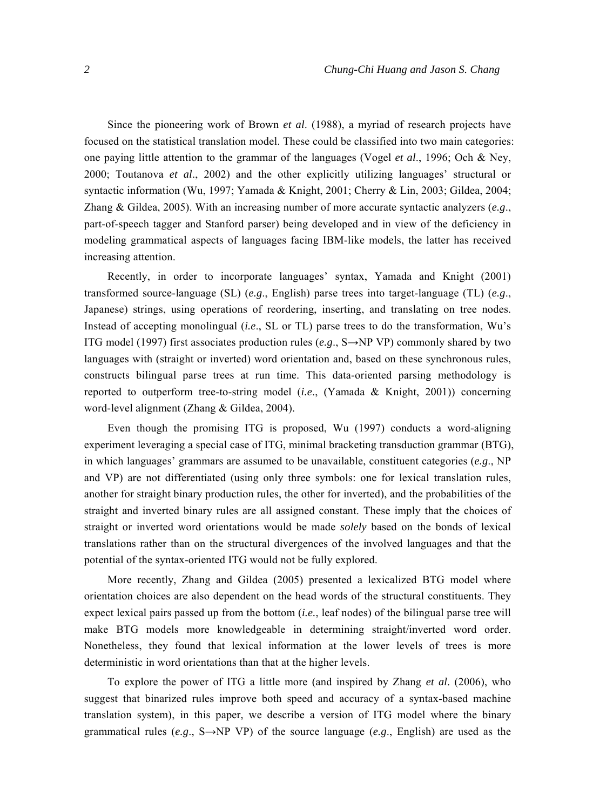Since the pioneering work of Brown *et al*. (1988), a myriad of research projects have focused on the statistical translation model. These could be classified into two main categories: one paying little attention to the grammar of the languages (Vogel *et al*., 1996; Och & Ney, 2000; Toutanova *et al*., 2002) and the other explicitly utilizing languages' structural or syntactic information (Wu, 1997; Yamada & Knight, 2001; Cherry & Lin, 2003; Gildea, 2004; Zhang & Gildea, 2005). With an increasing number of more accurate syntactic analyzers (*e.g*., part-of-speech tagger and Stanford parser) being developed and in view of the deficiency in modeling grammatical aspects of languages facing IBM-like models, the latter has received increasing attention.

Recently, in order to incorporate languages' syntax, Yamada and Knight (2001) transformed source-language (SL) (*e.g*., English) parse trees into target-language (TL) (*e.g*., Japanese) strings, using operations of reordering, inserting, and translating on tree nodes. Instead of accepting monolingual (*i.e*., SL or TL) parse trees to do the transformation, Wu's ITG model (1997) first associates production rules (*e.g*., S→NP VP) commonly shared by two languages with (straight or inverted) word orientation and, based on these synchronous rules, constructs bilingual parse trees at run time. This data-oriented parsing methodology is reported to outperform tree-to-string model (*i.e*., (Yamada & Knight, 2001)) concerning word-level alignment (Zhang & Gildea, 2004).

Even though the promising ITG is proposed, Wu (1997) conducts a word-aligning experiment leveraging a special case of ITG, minimal bracketing transduction grammar (BTG), in which languages' grammars are assumed to be unavailable, constituent categories (*e.g*., NP and VP) are not differentiated (using only three symbols: one for lexical translation rules, another for straight binary production rules, the other for inverted), and the probabilities of the straight and inverted binary rules are all assigned constant. These imply that the choices of straight or inverted word orientations would be made *solely* based on the bonds of lexical translations rather than on the structural divergences of the involved languages and that the potential of the syntax-oriented ITG would not be fully explored.

More recently, Zhang and Gildea (2005) presented a lexicalized BTG model where orientation choices are also dependent on the head words of the structural constituents. They expect lexical pairs passed up from the bottom (*i.e.*, leaf nodes) of the bilingual parse tree will make BTG models more knowledgeable in determining straight/inverted word order. Nonetheless, they found that lexical information at the lower levels of trees is more deterministic in word orientations than that at the higher levels.

To explore the power of ITG a little more (and inspired by Zhang *et al*. (2006), who suggest that binarized rules improve both speed and accuracy of a syntax-based machine translation system), in this paper, we describe a version of ITG model where the binary grammatical rules (*e.g*., S→NP VP) of the source language (*e.g*., English) are used as the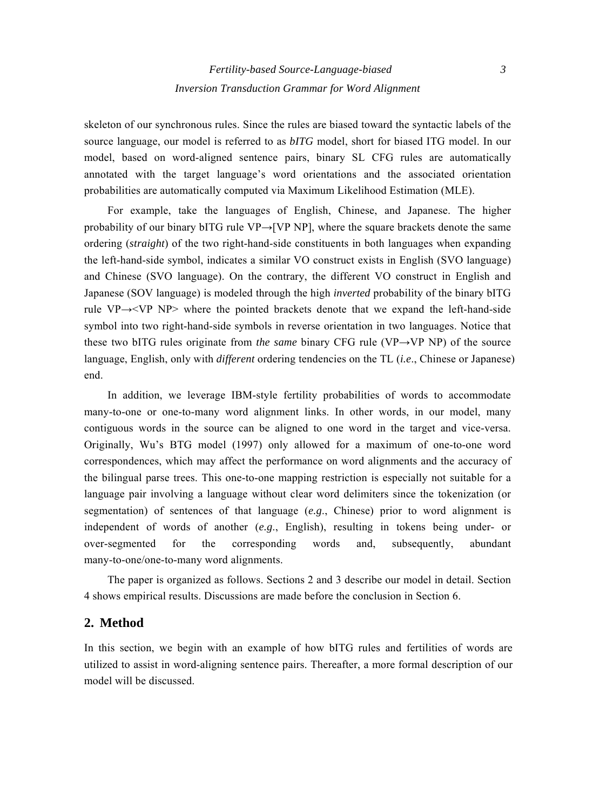skeleton of our synchronous rules. Since the rules are biased toward the syntactic labels of the source language, our model is referred to as *bITG* model, short for biased ITG model. In our model, based on word-aligned sentence pairs, binary SL CFG rules are automatically annotated with the target language's word orientations and the associated orientation probabilities are automatically computed via Maximum Likelihood Estimation (MLE).

For example, take the languages of English, Chinese, and Japanese. The higher probability of our binary bITG rule  $VP \rightarrow [VP \ NP]$ , where the square brackets denote the same ordering (*straight*) of the two right-hand-side constituents in both languages when expanding the left-hand-side symbol, indicates a similar VO construct exists in English (SVO language) and Chinese (SVO language). On the contrary, the different VO construct in English and Japanese (SOV language) is modeled through the high *inverted* probability of the binary bITG rule  $VP \rightarrow \langle VP \ NP \rangle$  where the pointed brackets denote that we expand the left-hand-side symbol into two right-hand-side symbols in reverse orientation in two languages. Notice that these two bITG rules originate from *the same* binary CFG rule (VP→VP NP) of the source language, English, only with *different* ordering tendencies on the TL (*i.e*., Chinese or Japanese) end.

In addition, we leverage IBM-style fertility probabilities of words to accommodate many-to-one or one-to-many word alignment links. In other words, in our model, many contiguous words in the source can be aligned to one word in the target and vice-versa. Originally, Wu's BTG model (1997) only allowed for a maximum of one-to-one word correspondences, which may affect the performance on word alignments and the accuracy of the bilingual parse trees. This one-to-one mapping restriction is especially not suitable for a language pair involving a language without clear word delimiters since the tokenization (or segmentation) of sentences of that language (*e.g*., Chinese) prior to word alignment is independent of words of another (*e.g*., English), resulting in tokens being under- or over-segmented for the corresponding words and, subsequently, abundant many-to-one/one-to-many word alignments.

The paper is organized as follows. Sections 2 and 3 describe our model in detail. Section 4 shows empirical results. Discussions are made before the conclusion in Section 6.

## **2. Method**

In this section, we begin with an example of how bITG rules and fertilities of words are utilized to assist in word-aligning sentence pairs. Thereafter, a more formal description of our model will be discussed.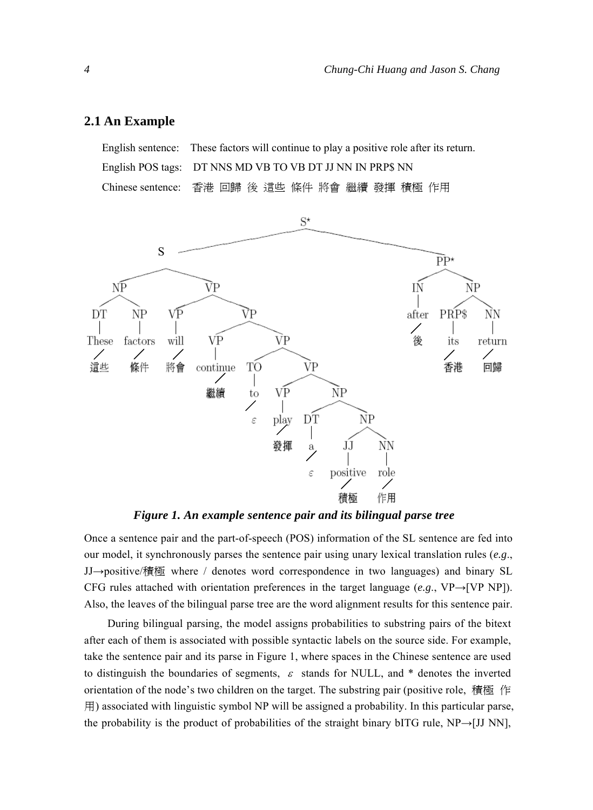#### **2.1 An Example**

English sentence: These factors will continue to play a positive role after its return. English POS tags: DT NNS MD VB TO VB DT JJ NN IN PRP\$ NN Chinese sentence: 香港 回歸 後 這些 條件 將會 繼續 發揮 積極 作用



*Figure 1. An example sentence pair and its bilingual parse tree* 

Once a sentence pair and the part-of-speech (POS) information of the SL sentence are fed into our model, it synchronously parses the sentence pair using unary lexical translation rules (*e.g*., JJ→positive/積極 where / denotes word correspondence in two languages) and binary SL CFG rules attached with orientation preferences in the target language (*e.g*., VP→[VP NP]). Also, the leaves of the bilingual parse tree are the word alignment results for this sentence pair.

During bilingual parsing, the model assigns probabilities to substring pairs of the bitext after each of them is associated with possible syntactic labels on the source side. For example, take the sentence pair and its parse in Figure 1, where spaces in the Chinese sentence are used to distinguish the boundaries of segments,  $\varepsilon$  stands for NULL, and \* denotes the inverted orientation of the node's two children on the target. The substring pair (positive role, 積極 作 用) associated with linguistic symbol NP will be assigned a probability. In this particular parse, the probability is the product of probabilities of the straight binary bITG rule, NP→[JJ NN],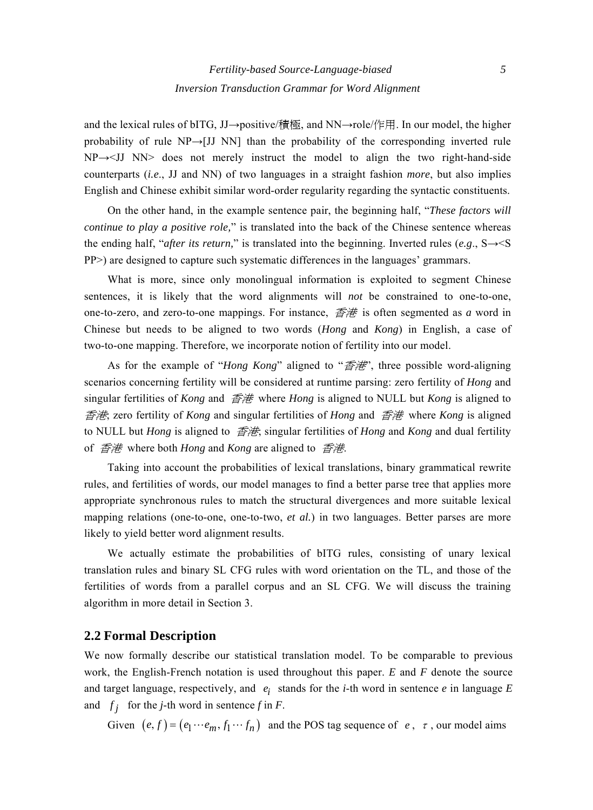and the lexical rules of bITG, JJ→positive/積極, and NN→role/作用. In our model, the higher probability of rule  $NP\rightarrow$ [JJ NN] than the probability of the corresponding inverted rule NP→<JJ NN> does not merely instruct the model to align the two right-hand-side counterparts (*i.e*., JJ and NN) of two languages in a straight fashion *more*, but also implies English and Chinese exhibit similar word-order regularity regarding the syntactic constituents.

On the other hand, in the example sentence pair, the beginning half, "*These factors will continue to play a positive role,*" is translated into the back of the Chinese sentence whereas the ending half, "*after its return*," is translated into the beginning. Inverted rules (*e.g.*,  $S \rightarrow S$ PP>) are designed to capture such systematic differences in the languages' grammars.

What is more, since only monolingual information is exploited to segment Chinese sentences, it is likely that the word alignments will *not* be constrained to one-to-one, one-to-zero, and zero-to-one mappings. For instance, 香港 is often segmented as *a* word in Chinese but needs to be aligned to two words (*Hong* and *Kong*) in English, a case of two-to-one mapping. Therefore, we incorporate notion of fertility into our model.

As for the example of "*Hong Kong*" aligned to "香港", three possible word-aligning scenarios concerning fertility will be considered at runtime parsing: zero fertility of *Hong* and singular fertilities of *Kong* and 香港 where *Hong* is aligned to NULL but *Kong* is aligned to 香港; zero fertility of *Kong* and singular fertilities of *Hong* and 香港 where *Kong* is aligned to NULL but *Hong* is aligned to 香港; singular fertilities of *Hong* and *Kong* and dual fertility of 香港 where both *Hong* and *Kong* are aligned to 香港.

Taking into account the probabilities of lexical translations, binary grammatical rewrite rules, and fertilities of words, our model manages to find a better parse tree that applies more appropriate synchronous rules to match the structural divergences and more suitable lexical mapping relations (one-to-one, one-to-two, *et al.*) in two languages. Better parses are more likely to yield better word alignment results.

We actually estimate the probabilities of bITG rules, consisting of unary lexical translation rules and binary SL CFG rules with word orientation on the TL, and those of the fertilities of words from a parallel corpus and an SL CFG. We will discuss the training algorithm in more detail in Section 3.

## **2.2 Formal Description**

We now formally describe our statistical translation model. To be comparable to previous work, the English-French notation is used throughout this paper. *E* and *F* denote the source and target language, respectively, and  $e_i$  stands for the *i*-th word in sentence  $e$  in language  $E$ and  $f_j$  for the *j*-th word in sentence *f* in *F*.

Given  $(e, f) = (e_1 \cdots e_m, f_1 \cdots f_n)$  and the POS tag sequence of  $e, \tau$ , our model aims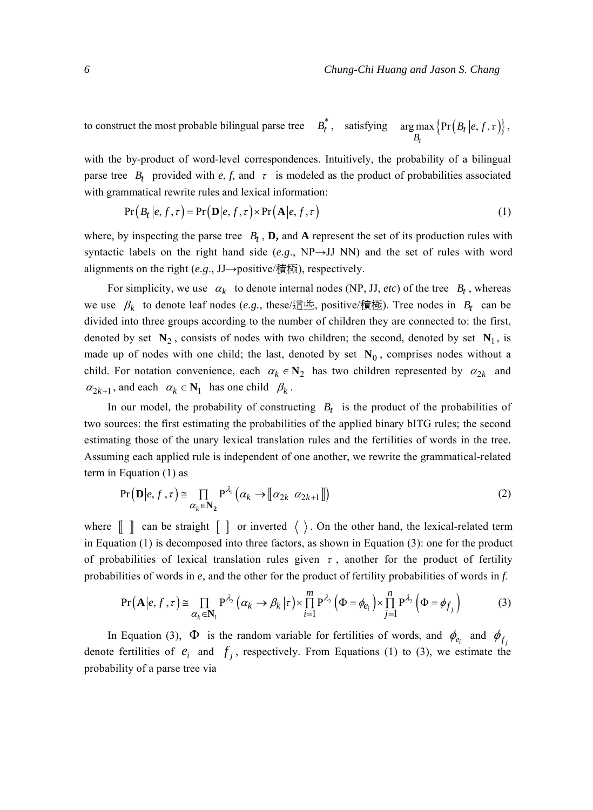to construct the most probable bilingual parse tree  $B_t^*$ , satisfying arg max  $\{Pr(B_t | e, f, \tau)\}$ *t* ; max  $\{Pr(B_t B_t)$  $B_t |e, f, \tau\rangle\},$ 

with the by-product of word-level correspondences. Intuitively, the probability of a bilingual parse tree  $B_t$  provided with  $e, f$ , and  $\tau$  is modeled as the product of probabilities associated with grammatical rewrite rules and lexical information:

$$
Pr(B_t | e, f, \tau) = Pr(D | e, f, \tau) \times Pr(A | e, f, \tau)
$$
\n(1)

where, by inspecting the parse tree  $B_t$ , **D**, and **A** represent the set of its production rules with syntactic labels on the right hand side  $(e.g., NP \rightarrow JJ NN)$  and the set of rules with word alignments on the right (*e.g*., JJ→positive/積極), respectively.

For simplicity, we use  $\alpha_k$  to denote internal nodes (NP, JJ, *etc*) of the tree  $B_t$ , whereas we use  $\beta_k$  to denote leaf nodes (*e.g.*, these/這些, positive/積極). Tree nodes in  $B_t$  can be divided into three groups according to the number of children they are connected to: the first, denoted by set  $N_2$ , consists of nodes with two children; the second, denoted by set  $N_1$ , is made up of nodes with one child; the last, denoted by set  $N_0$ , comprises nodes without a child. For notation convenience, each  $\alpha_k \in \mathbb{N}_2$  has two children represented by  $\alpha_{2k}$  and  $\alpha_{2k+1}$ , and each  $\alpha_k \in \mathbf{N}_1$  has one child  $\beta_k$ .

In our model, the probability of constructing  $B_t$  is the product of the probabilities of two sources: the first estimating the probabilities of the applied binary bITG rules; the second estimating those of the unary lexical translation rules and the fertilities of words in the tree. Assuming each applied rule is independent of one another, we rewrite the grammatical-related term in Equation (1) as

$$
Pr(\mathbf{D}|e, f, \tau) \cong \prod_{\alpha_k \in \mathbf{N}_2} P^{\lambda_1}(\alpha_k \to [\![\alpha_{2k} \ \alpha_{2k+1}]\!])
$$
 (2)

where  $\begin{bmatrix} \end{bmatrix}$  can be straight  $\begin{bmatrix} \end{bmatrix}$  or inverted  $\langle \rangle$ . On the other hand, the lexical-related term in Equation (1) is decomposed into three factors, as shown in Equation (3): one for the product of probabilities of lexical translation rules given  $\tau$ , another for the product of fertility probabilities of words in *e,* and the other for the product of fertility probabilities of words in *f*.

$$
\Pr\left(\mathbf{A}|e,f,\tau\right) \cong \prod_{\alpha_k \in \mathbf{N}_1} P^{\lambda_2} \left(\alpha_k \to \beta_k \,|\tau\right) \times \prod_{i=1}^m P^{\lambda_2} \left(\Phi = \phi_{e_i}\right) \times \prod_{j=1}^n P^{\lambda_2} \left(\Phi = \phi_{f_j}\right) \tag{3}
$$

In Equation (3),  $\Phi$  is the random variable for fertilities of words, and  $\phi_{e_i}$  and  $\phi_{f_j}$ denote fertilities of  $e_i$  and  $f_i$ , respectively. From Equations (1) to (3), we estimate the probability of a parse tree via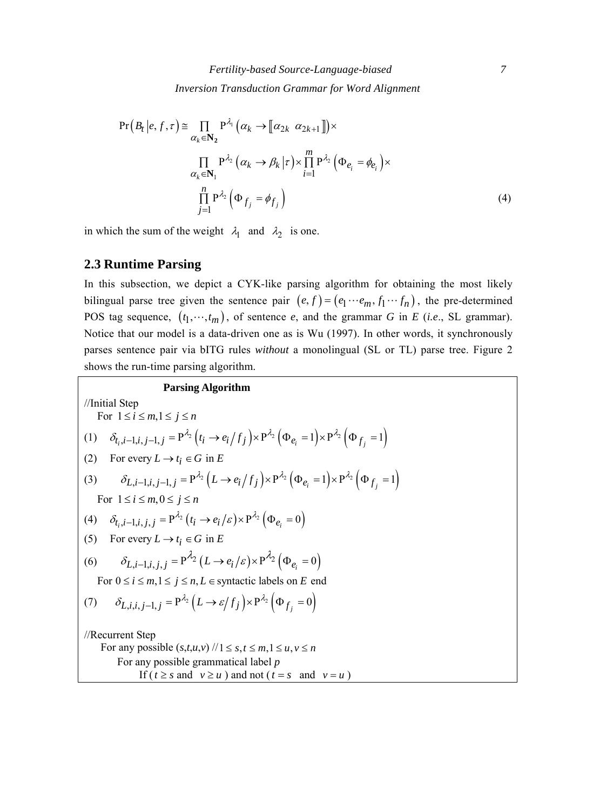$$
\Pr(B_t | e, f, \tau) \cong \prod_{\alpha_k \in \mathbb{N}_2} \Pr^{\lambda_1}(\alpha_k \to [\![\alpha_{2k} \ \alpha_{2k+1}]\!]) \times
$$

$$
\prod_{\alpha_k \in \mathbb{N}_1} \Pr^{\lambda_2}(\alpha_k \to \beta_k | \tau) \times \prod_{i=1}^m \Pr^{\lambda_2}(\Phi_{e_i} = \phi_{e_i}) \times
$$

$$
\prod_{j=1}^n \Pr^{\lambda_2}(\Phi_{f_j} = \phi_{f_j})
$$
(4)

in which the sum of the weight  $\lambda_1$  and  $\lambda_2$  is one.

# **2.3 Runtime Parsing**

In this subsection, we depict a CYK-like parsing algorithm for obtaining the most likely bilingual parse tree given the sentence pair  $(e, f) = (e_1 \cdots e_m, f_1 \cdots f_n)$ , the pre-determined POS tag sequence,  $(t_1, \dots, t_m)$ , of sentence *e*, and the grammar *G* in *E* (*i.e.*, SL grammar). Notice that our model is a data-driven one as is Wu (1997). In other words, it synchronously parses sentence pair via bITG rules *without* a monolingual (SL or TL) parse tree. Figure 2 shows the run-time parsing algorithm.

| Passing Algorithm                                                                                                                                          |                                    |
|------------------------------------------------------------------------------------------------------------------------------------------------------------|------------------------------------|
| //Initial Step                                                                                                                                             | For $1 \le i \le m, 1 \le j \le n$ |
| (1) $\delta_{t_i, i-1, i, j-1, j} = P^{\lambda_2} (t_i \rightarrow e_i / f_j) \times P^{\lambda_2} (\Phi_{e_i} = 1) \times P^{\lambda_2} (\Phi_{f_j} = 1)$ |                                    |
| (2) For every $L \rightarrow t_i \in G$ in $E$                                                                                                             |                                    |
| (3) $\delta_{L, i-1, i, j-1, j} = P^{\lambda_2} (L \rightarrow e_i / f_j) \times P^{\lambda_2} (\Phi_{e_i} = 1) \times P^{\lambda_2} (\Phi_{f_j} = 1)$     |                                    |
| For $1 \le i \le m, 0 \le j \le n$                                                                                                                         |                                    |
| (4) $\delta_{t_i, i-1, i, j, j} = P^{\lambda_2} (t_i \rightarrow e_i / \varepsilon) \times P^{\lambda_2} (\Phi_{e_i} = 0)$                                 |                                    |
| (5) For every $L \rightarrow t_i \in G$ in $E$                                                                                                             |                                    |
| (6) $\delta_{L, i-1, i, j, j} = P^{\lambda_2} (L \rightarrow e_i / \varepsilon) \times P^{\lambda_2} (\Phi_{e_i} = 0)$                                     |                                    |
| For $0 \le i \le m, 1 \le j \le n, L \in \text{syntactic labels on } E$ end                                                                                |                                    |
| (7) $\delta_{L, i, i, j-1, j} = P^{\lambda_2} (L \rightarrow \varepsilon / f_j) \times P^{\lambda_2} (\Phi_{f_j} = 0)$                                     |                                    |
| //Recurrent Step                                                                                                                                           |                                    |
| For any possible $(s, t, u, v) / 1 \le s, t \le m, 1 \le u, v \le n$                                                                                       |                                    |
| For any possible grammatical label $p$                                                                                                                     |                                    |
| If $(t \ge s \text{ and } v \ge u)$ and not $(t = s \text{ and } v = u)$                                                                                   |                                    |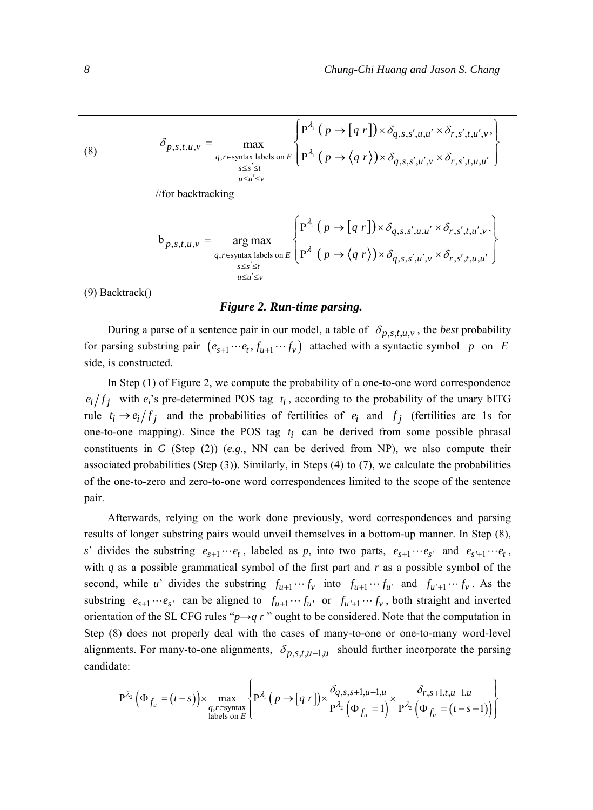(8)  
\n
$$
\delta_{p,s,t,u,v} = \max_{q,r \in \text{syntax labels on } E} \left\{ P^{\lambda_i} (p \to [q \ r]) \times \delta_{q,s,s',u,u'} \times \delta_{r,s',t,u',v}, \atop q,s \leq s' \leq t} \right\}
$$
\n
$$
\left\{ P^{\lambda_i} (p \to \langle q \ r \rangle) \times \delta_{q,s,s',u',v} \times \delta_{r,s',t,u',u'} \right\}
$$
\n
$$
\left\{ P^{\lambda_i} (p \to \langle q \ r \rangle) \times \delta_{q,s,s',u',v} \times \delta_{r,s',t,u',u'} \right\}
$$
\n
$$
b_{p,s,t,u,v} = \arg \max_{q,r \in \text{syntax labels on } E} \left\{ P^{\lambda_i} (p \to [q \ r]) \times \delta_{q,s,s',u,u'} \times \delta_{r,s',t,u',v}, \atop s \leq s' \leq t} \right\}
$$
\n(9) Backtrack()

#### *Figure 2. Run-time parsing.*

During a parse of a sentence pair in our model, a table of  $\delta_{p,s,t,u,v}$ , the *best* probability for parsing substring pair  $(e_{s+1} \cdots e_t, f_{u+1} \cdots f_v)$  attached with a syntactic symbol *p* on *E* side, is constructed.

In Step (1) of Figure 2, we compute the probability of a one-to-one word correspondence  $e_i/f_j$  with  $e_i$ 's pre-determined POS tag  $t_i$ , according to the probability of the unary bITG rule  $t_i \rightarrow e_i / f_j$  and the probabilities of fertilities of  $e_i$  and  $f_j$  (fertilities are 1s for one-to-one mapping). Since the POS tag  $t_i$  can be derived from some possible phrasal constituents in *G* (Step (2)) (*e.g*., NN can be derived from NP), we also compute their associated probabilities (Step (3)). Similarly, in Steps (4) to (7), we calculate the probabilities of the one-to-zero and zero-to-one word correspondences limited to the scope of the sentence pair.

Afterwards, relying on the work done previously, word correspondences and parsing results of longer substring pairs would unveil themselves in a bottom-up manner. In Step (8), *s*' divides the substring  $e_{s+1} \cdots e_t$ , labeled as p, into two parts,  $e_{s+1} \cdots e_s$  and  $e_{s'+1} \cdots e_t$ , with *q* as a possible grammatical symbol of the first part and *r* as a possible symbol of the second, while *u*' divides the substring  $f_{u+1} \cdots f_v$  into  $f_{u+1} \cdots f_u$  and  $f_{u'+1} \cdots f_v$ . As the substring  $e_{s+1} \cdots e_s$  can be aligned to  $f_{u+1} \cdots f_u$  or  $f_{u'+1} \cdots f_v$ , both straight and inverted orientation of the SL CFG rules " $p \rightarrow q r$ " ought to be considered. Note that the computation in Step (8) does not properly deal with the cases of many-to-one or one-to-many word-level alignments. For many-to-one alignments,  $\delta_{p,s,t,u-1,u}$  should further incorporate the parsing candidate:

$$
P^{\lambda_2}\left(\Phi_{f_u} = (t-s)\right) \times \max_{\substack{q,r \in \text{syntax} \\ \text{labels on } E}} \left\{ P^{\lambda_1}\left(p \to [q \ r]\right) \times \frac{\delta_{q,s,s+1,u-1,u}}{P^{\lambda_2}\left(\Phi_{f_u} = 1\right)} \times \frac{\delta_{r,s+1,t,u-1,u}}{P^{\lambda_2}\left(\Phi_{f_u} = (t-s-1)\right)} \right\}
$$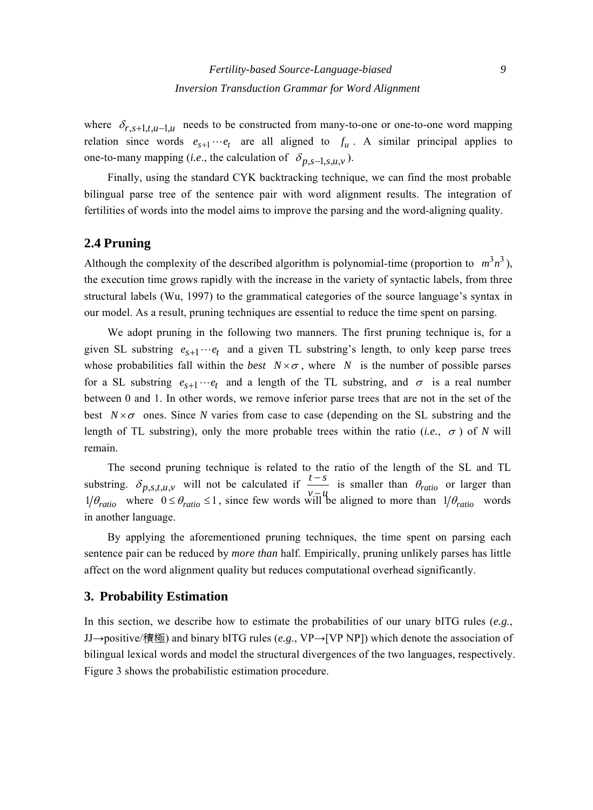where  $\delta_{r,s+1,t,u-1,u}$  needs to be constructed from many-to-one or one-to-one word mapping relation since words  $e_{s+1} \cdots e_t$  are all aligned to  $f_u$ . A similar principal applies to one-to-many mapping (*i.e.*, the calculation of  $\delta_{p,s-1,s,u,v}$ ).

Finally, using the standard CYK backtracking technique, we can find the most probable bilingual parse tree of the sentence pair with word alignment results. The integration of fertilities of words into the model aims to improve the parsing and the word-aligning quality.

## **2.4 Pruning**

Although the complexity of the described algorithm is polynomial-time (proportion to  $m^3 n^3$ ), the execution time grows rapidly with the increase in the variety of syntactic labels, from three structural labels (Wu, 1997) to the grammatical categories of the source language's syntax in our model. As a result, pruning techniques are essential to reduce the time spent on parsing.

We adopt pruning in the following two manners. The first pruning technique is, for a given SL substring  $e_{s+1} \cdots e_t$  and a given TL substring's length, to only keep parse trees whose probabilities fall within the *best*  $N \times \sigma$ , where *N* is the number of possible parses for a SL substring  $e_{s+1} \cdots e_t$  and a length of the TL substring, and  $\sigma$  is a real number between 0 and 1. In other words, we remove inferior parse trees that are not in the set of the best  $N \times \sigma$  ones. Since *N* varies from case to case (depending on the SL substring and the length of TL substring), only the more probable trees within the ratio (*i.e.*,  $\sigma$ ) of *N* will remain.

The second pruning technique is related to the ratio of the length of the SL and TL substring.  $\delta_{p,s,t,u,v}$  will not be calculated if  $\frac{t-s}{v-u}$  is smaller than  $\theta_{ratio}$  or larger than  $1/\theta_{ratio}$  where  $0 \le \theta_{ratio} \le 1$ , since few words will be aligned to more than  $1/\theta_{ratio}$  words in another language.

By applying the aforementioned pruning techniques, the time spent on parsing each sentence pair can be reduced by *more than* half. Empirically, pruning unlikely parses has little affect on the word alignment quality but reduces computational overhead significantly.

## **3. Probability Estimation**

In this section, we describe how to estimate the probabilities of our unary bITG rules (*e.g.*, JJ→positive/積極) and binary bITG rules (*e.g*., VP→[VP NP]) which denote the association of bilingual lexical words and model the structural divergences of the two languages, respectively. Figure 3 shows the probabilistic estimation procedure.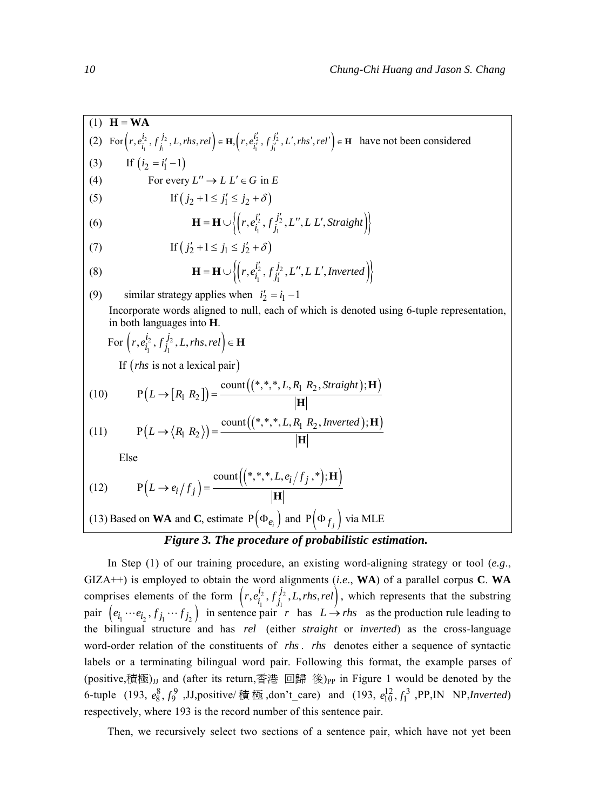$(1)$  **H** = **WA** (2) For  $\left(r, e_{i_1}^{i_2}, f_{j_1}^{j_2}, L, rhs, rel\right) \in \mathbf{H}, \left(r, e_{i_1'}^{i_2'}, f_{j_1'}^{j_2'}, L', rhs', rel'\right) \in \mathbf{H}$  have not been considered (3) If  $(i_2 = i'_1 - 1)$ (4) For every  $L'' \to L L' \in G$  in E (5) If  $(j_2 + 1 \le j'_1 \le j_2 + \delta)$ (6)  ${\bf H} = {\bf H} \cup \Big\{ \Big( r, e_{i_1}^{i'_2}, f_{j_1}^{j'_2}, L'', L L', Straight \Big) \Big\}$ (7) If  $(j'_2 + 1 \le j_1 \le j'_2 + \delta)$ (8)  ${\bf H} = {\bf H} \cup \left\{ \left( r, e_{i_1}^{i_2'}, f_{j_1'}^{j_2}, L'', L L', \text{Inverted} \right) \right\}$ (9) similar strategy applies when  $i'_2 = i_1 - 1$ Incorporate words aligned to null, each of which is denoted using 6-tuple representation, in both languages into **H**.  $\text{For }\left(r, e_{i_1}^{i_2}, f_{j_1}^{j_2}, L, rhs, rel\right) \in \mathbf{H}$ If  $(rh<sub>s</sub>$  is not a lexical pair) (10)  $P(L \rightarrow [R_1 R_2]) = \frac{\text{count}((*,*,*, L, R_1 R_2, Straight); \mathbf{H})}{\mathbf{I}_{\mathbf{I}} \mathbf{I}_{\mathbf{I}}}$ **H** (11)  $P(L \rightarrow \langle R_1 R_2 \rangle) = \frac{\text{count}((*,*,*,*,L,R_1 R_2, \text{Inverted}); \mathbf{H})}{\mathbf{I}_{\mathbf{I}_{\mathbf{I}}}}$ **H** Else (12)  $P(L \to e_i / f_j) = \frac{\text{count}((*,*,*, L, e_i / f_j, *); \mathbf{H})}{\text{irr}}$  $L, e_i/f$  $L \rightarrow e_i / f_i$ ) = **H H** (13) Based on **WA** and **C**, estimate  $P(\Phi_{e_i})$  and  $P(\Phi_{f_j})$  via MLE

# *Figure 3. The procedure of probabilistic estimation.*

In Step (1) of our training procedure, an existing word-aligning strategy or tool (*e.g*., GIZA++) is employed to obtain the word alignments (*i.e*., **WA**) of a parallel corpus **C**. **WA** comprises elements of the form  $\left(r, e_{i_1}^{i_2}, f_{j_1}^{j_2}, L, rhs, rel\right)$ , which represents that the substring pair  $(e_{i_1} \cdots e_{i_2}, f_{j_1} \cdots f_{j_2})$  in sentence pair *r* has  $L \rightarrow rhs$  as the production rule leading to the bilingual structure and has *rel* (either *straight* or *inverted*) as the cross-language word-order relation of the constituents of *rhs* . *rhs* denotes either a sequence of syntactic labels or a terminating bilingual word pair. Following this format, the example parses of (positive,積極)<sub>IJ</sub> and (after its return,香港 回歸 後)<sub>PP</sub> in Figure 1 would be denoted by the 6-tuple (193,  $e_8^8$ ,  $f_9^9$ , J.J,positive/ 積 極,don't\_care) and (193,  $e_{10}^{12}$ ,  $f_1^3$ , PP,IN NP,*Inverted*) respectively, where 193 is the record number of this sentence pair.

Then, we recursively select two sections of a sentence pair, which have not yet been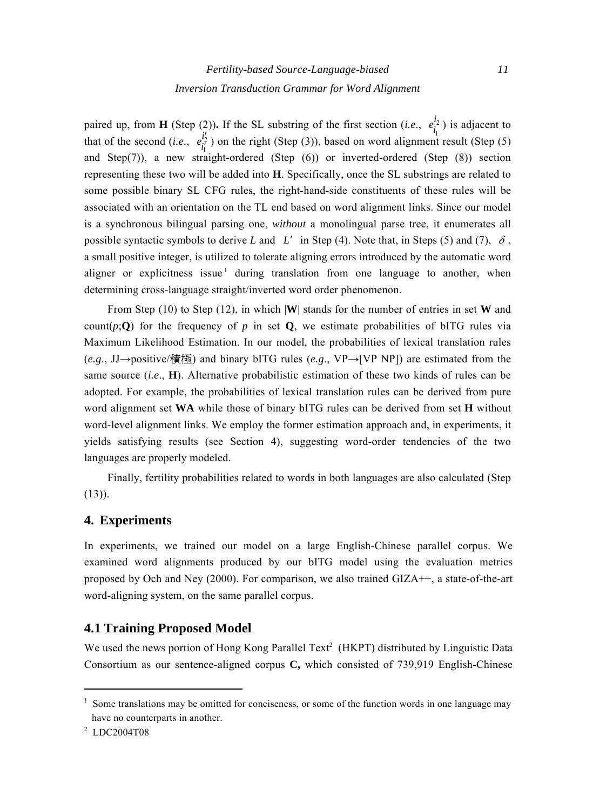paired up, from **H** (Step (2)). If the SL substring of the first section (*i.e.*,  $e_i^{\dot{l}_2}$ ) that of the second (*i.e.*,  $e_{i_1}^{i_2}$ ) on the right (Step (3)), based on word alignment  $e_{i_1}^{i_2}$ ) is adjacent to *i*  $e^{i_2^t}_{i_1^t}$ ) on the right (Step (3)), based on word alignment result (Step (5) and Step(7)), a new straight-ordered (Step (6)) or inverted-ordered (Step (8)) section representing these two will be added into **H**. Specifically, once the SL substrings are related to some possible binary SL CFG rules, the right-hand-side constituents of these rules will be associated with an orientation on the TL end based on word alignment links. Since our model is a synchronous bilingual parsing one, *without* a monolingual parse tree, it enumerates all possible syntactic symbols to derive *L* and *L'* in Step (4). Note that, in Steps (5) and (7),  $\delta$ , a small positive integer, is utilized to tolerate aligning errors introduced by the automatic word aligner or explicitness issue  $\frac{1}{2}$  during translation from one language to another, when determining cross-language straight/inverted word order phenomenon.

From Step (10) to Step (12), in which |**W**| stands for the number of entries in set **W** and count( $p$ ;**Q**) for the frequency of  $p$  in set **Q**, we estimate probabilities of bITG rules via Maximum Likelihood Estimation. In our model, the probabilities of lexical translation rules (*e.g*., JJ→positive/積極) and binary bITG rules (*e.g*., VP→[VP NP]) are estimated from the same source (*i.e*., **H**). Alternative probabilistic estimation of these two kinds of rules can be adopted. For example, the probabilities of lexical translation rules can be derived from pure word alignment set **WA** while those of binary bITG rules can be derived from set **H** without word-level alignment links. We employ the former estimation approach and, in experiments, it yields satisfying results (see Section 4), suggesting word-order tendencies of the two languages are properly modeled.

Finally, fertility probabilities related to words in both languages are also calculated (Step  $(13)$ ).

# **4. Experiments**

In experiments, we trained our model on a large English-Chinese parallel corpus. We examined word alignments produced by our bITG model using the evaluation metrics proposed by Och and Ney (2000). For comparison, we also trained GIZA++, a state-of-the-art word-aligning system, on the same parallel corpus.

# **4.1 Training Proposed Model**

We used the news portion of Hong Kong Parallel Text<sup>2</sup> (HKPT) distributed by Linguistic Data Consortium as our sentence-aligned corpus **C,** which consisted of 739,919 English-Chinese

<sup>&</sup>lt;sup>1</sup> Some translations may be omitted for conciseness, or some of the function words in one language may have no counterparts in another.

<sup>2</sup> LDC2004T08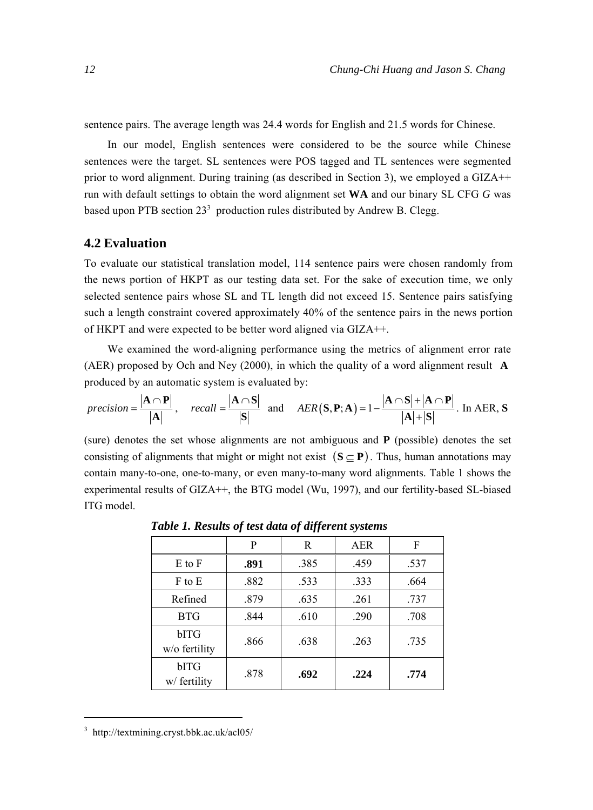sentence pairs. The average length was 24.4 words for English and 21.5 words for Chinese.

In our model, English sentences were considered to be the source while Chinese sentences were the target. SL sentences were POS tagged and TL sentences were segmented prior to word alignment. During training (as described in Section 3), we employed a GIZA++ run with default settings to obtain the word alignment set **WA** and our binary SL CFG *G* was based upon PTB section  $23<sup>3</sup>$  production rules distributed by Andrew B. Clegg.

#### **4.2 Evaluation**

To evaluate our statistical translation model, 114 sentence pairs were chosen randomly from the news portion of HKPT as our testing data set. For the sake of execution time, we only selected sentence pairs whose SL and TL length did not exceed 15. Sentence pairs satisfying such a length constraint covered approximately 40% of the sentence pairs in the news portion of HKPT and were expected to be better word aligned via GIZA++.

We examined the word-aligning performance using the metrics of alignment error rate (AER) proposed by Och and Ney (2000), in which the quality of a word alignment result **A** produced by an automatic system is evaluated by:

$$
precision = \frac{|\mathbf{A} \cap \mathbf{P}|}{|\mathbf{A}|}, \quad recall = \frac{|\mathbf{A} \cap \mathbf{S}|}{|\mathbf{S}|} \text{ and } AER(\mathbf{S}, \mathbf{P}; \mathbf{A}) = 1 - \frac{|\mathbf{A} \cap \mathbf{S}| + |\mathbf{A} \cap \mathbf{P}|}{|\mathbf{A}| + |\mathbf{S}|}. \text{ In AER, } \mathbf{S}
$$

(sure) denotes the set whose alignments are not ambiguous and **P** (possible) denotes the set consisting of alignments that might or might not exist  $(S \subset P)$ . Thus, human annotations may contain many-to-one, one-to-many, or even many-to-many word alignments. Table 1 shows the experimental results of GIZA++, the BTG model (Wu, 1997), and our fertility-based SL-biased ITG model.

|                       | P    | R    | <b>AER</b> | F    |
|-----------------------|------|------|------------|------|
| $E$ to $F$            | .891 | .385 | .459       | .537 |
| F to E                | .882 | .533 | .333       | .664 |
| Refined               | .879 | .635 | .261       | .737 |
| <b>BTG</b>            | .844 | .610 | .290       | .708 |
| bITG<br>w/o fertility | .866 | .638 | .263       | .735 |
| bITG<br>w/ fertility  | .878 | .692 | .224       | .774 |

*Table 1. Results of test data of different systems* 

 3 http://textmining.cryst.bbk.ac.uk/acl05/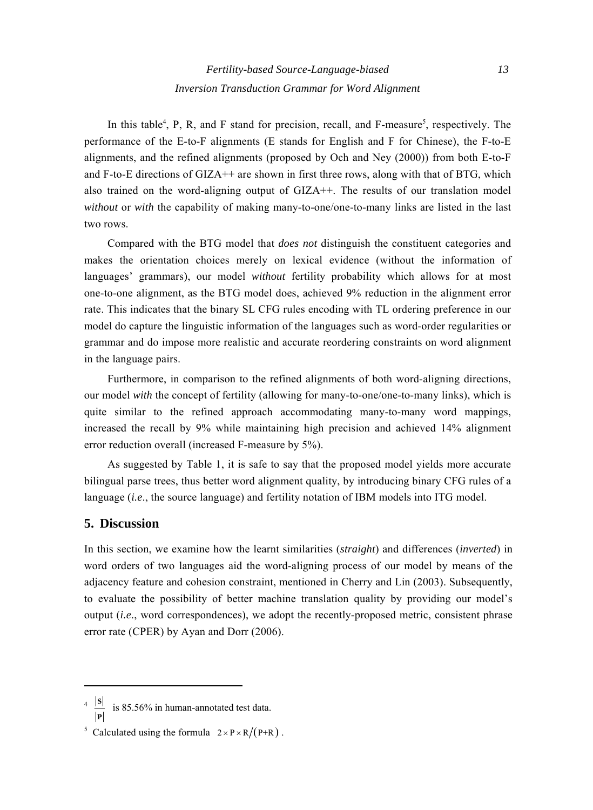In this table<sup>4</sup>, P, R, and F stand for precision, recall, and F-measure<sup>5</sup>, respectively. The performance of the E-to-F alignments (E stands for English and F for Chinese), the F-to-E alignments, and the refined alignments (proposed by Och and Ney (2000)) from both E-to-F and F-to-E directions of GIZA++ are shown in first three rows, along with that of BTG, which also trained on the word-aligning output of GIZA++. The results of our translation model *without* or *with* the capability of making many-to-one/one-to-many links are listed in the last two rows.

Compared with the BTG model that *does not* distinguish the constituent categories and makes the orientation choices merely on lexical evidence (without the information of languages' grammars), our model *without* fertility probability which allows for at most one-to-one alignment, as the BTG model does, achieved 9% reduction in the alignment error rate. This indicates that the binary SL CFG rules encoding with TL ordering preference in our model do capture the linguistic information of the languages such as word-order regularities or grammar and do impose more realistic and accurate reordering constraints on word alignment in the language pairs.

Furthermore, in comparison to the refined alignments of both word-aligning directions, our model *with* the concept of fertility (allowing for many-to-one/one-to-many links), which is quite similar to the refined approach accommodating many-to-many word mappings, increased the recall by 9% while maintaining high precision and achieved 14% alignment error reduction overall (increased F-measure by 5%).

As suggested by Table 1, it is safe to say that the proposed model yields more accurate bilingual parse trees, thus better word alignment quality, by introducing binary CFG rules of a language *(i.e., the source language)* and fertility notation of IBM models into ITG model.

## **5. Discussion**

In this section, we examine how the learnt similarities (*straight*) and differences (*inverted*) in word orders of two languages aid the word-aligning process of our model by means of the adjacency feature and cohesion constraint, mentioned in Cherry and Lin (2003). Subsequently, to evaluate the possibility of better machine translation quality by providing our model's output (*i.e*., word correspondences), we adopt the recently-proposed metric, consistent phrase error rate (CPER) by Ayan and Dorr (2006).

<sup>4</sup> **S**  $\frac{E}{E}$  is 85.56% in human-annotated test data.

<sup>&</sup>lt;sup>5</sup> Calculated using the formula  $2 \times P \times R/(P+R)$ .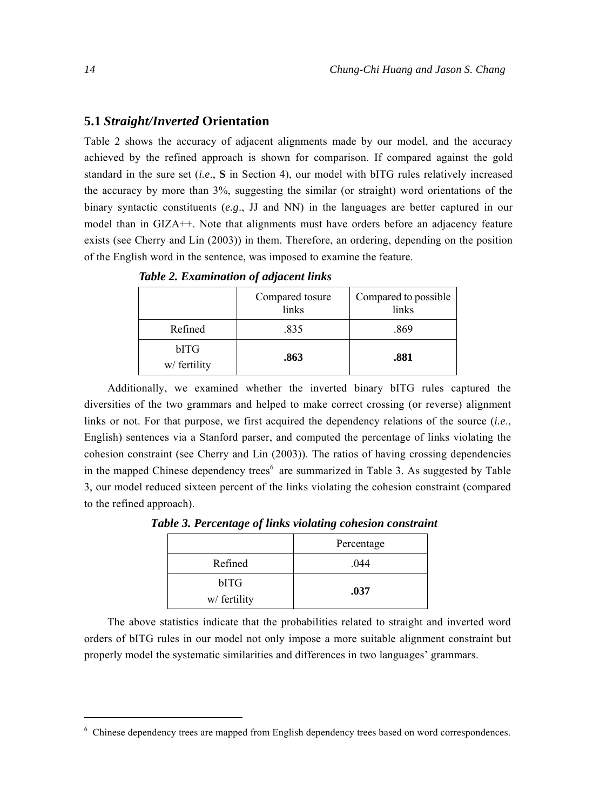#### **5.1** *Straight/Inverted* **Orientation**

Table 2 shows the accuracy of adjacent alignments made by our model, and the accuracy achieved by the refined approach is shown for comparison. If compared against the gold standard in the sure set (*i.e*., **S** in Section 4), our model with bITG rules relatively increased the accuracy by more than 3%, suggesting the similar (or straight) word orientations of the binary syntactic constituents (*e.g*., JJ and NN) in the languages are better captured in our model than in GIZA++. Note that alignments must have orders before an adjacency feature exists (see Cherry and Lin (2003)) in them. Therefore, an ordering, depending on the position of the English word in the sentence, was imposed to examine the feature.

|                      | Compared tosure<br>links | Compared to possible<br>links |
|----------------------|--------------------------|-------------------------------|
| Refined              | .835                     | .869                          |
| bITG<br>w/ fertility | .863                     | .881                          |

*Table 2. Examination of adjacent links* 

Additionally, we examined whether the inverted binary bITG rules captured the diversities of the two grammars and helped to make correct crossing (or reverse) alignment links or not. For that purpose, we first acquired the dependency relations of the source (*i.e*., English) sentences via a Stanford parser, and computed the percentage of links violating the cohesion constraint (see Cherry and Lin (2003)). The ratios of having crossing dependencies in the mapped Chinese dependency trees<sup>6</sup> are summarized in Table 3. As suggested by Table 3, our model reduced sixteen percent of the links violating the cohesion constraint (compared to the refined approach).

*Table 3. Percentage of links violating cohesion constraint* 

|                      | Percentage |  |
|----------------------|------------|--|
| Refined              | .044       |  |
| bITG<br>w/ fertility | .037       |  |

The above statistics indicate that the probabilities related to straight and inverted word orders of bITG rules in our model not only impose a more suitable alignment constraint but properly model the systematic similarities and differences in two languages' grammars.

<sup>6</sup> Chinese dependency trees are mapped from English dependency trees based on word correspondences.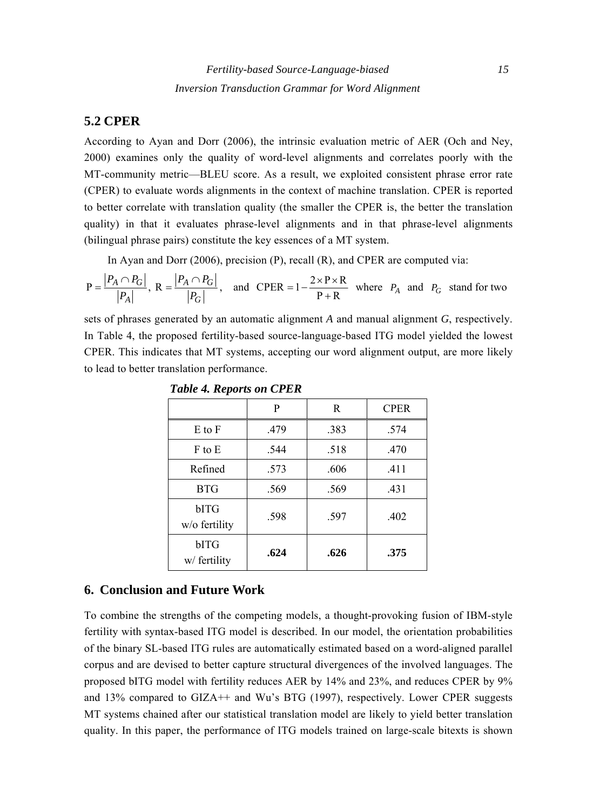## **5.2 CPER**

According to Ayan and Dorr (2006), the intrinsic evaluation metric of AER (Och and Ney, 2000) examines only the quality of word-level alignments and correlates poorly with the MT-community metric—BLEU score. As a result, we exploited consistent phrase error rate (CPER) to evaluate words alignments in the context of machine translation. CPER is reported to better correlate with translation quality (the smaller the CPER is, the better the translation quality) in that it evaluates phrase-level alignments and in that phrase-level alignments (bilingual phrase pairs) constitute the key essences of a MT system.

In Ayan and Dorr (2006), precision (P), recall (R), and CPER are computed via:

$$
P = \frac{|P_A \cap P_G|}{|P_A|}, R = \frac{|P_A \cap P_G|}{|P_G|}, \text{ and } CPER = 1 - \frac{2 \times P \times R}{P + R} \text{ where } P_A \text{ and } P_G \text{ stand for two}
$$

sets of phrases generated by an automatic alignment *A* and manual alignment *G*, respectively. In Table 4, the proposed fertility-based source-language-based ITG model yielded the lowest CPER. This indicates that MT systems, accepting our word alignment output, are more likely to lead to better translation performance.

|                       | P    | R    | <b>CPER</b> |
|-----------------------|------|------|-------------|
| $E$ to $F$            | .479 | .383 | .574        |
| F to E                | .544 | .518 | .470        |
| Refined               | .573 | .606 | .411        |
| <b>BTG</b>            | .569 | .569 | .431        |
| bITG<br>w/o fertility | .598 | .597 | .402        |
| bITG<br>w/ fertility  | .624 | .626 | .375        |

*Table 4. Reports on CPER* 

#### **6. Conclusion and Future Work**

To combine the strengths of the competing models, a thought-provoking fusion of IBM-style fertility with syntax-based ITG model is described. In our model, the orientation probabilities of the binary SL-based ITG rules are automatically estimated based on a word-aligned parallel corpus and are devised to better capture structural divergences of the involved languages. The proposed bITG model with fertility reduces AER by 14% and 23%, and reduces CPER by 9% and 13% compared to GIZA++ and Wu's BTG (1997), respectively. Lower CPER suggests MT systems chained after our statistical translation model are likely to yield better translation quality. In this paper, the performance of ITG models trained on large-scale bitexts is shown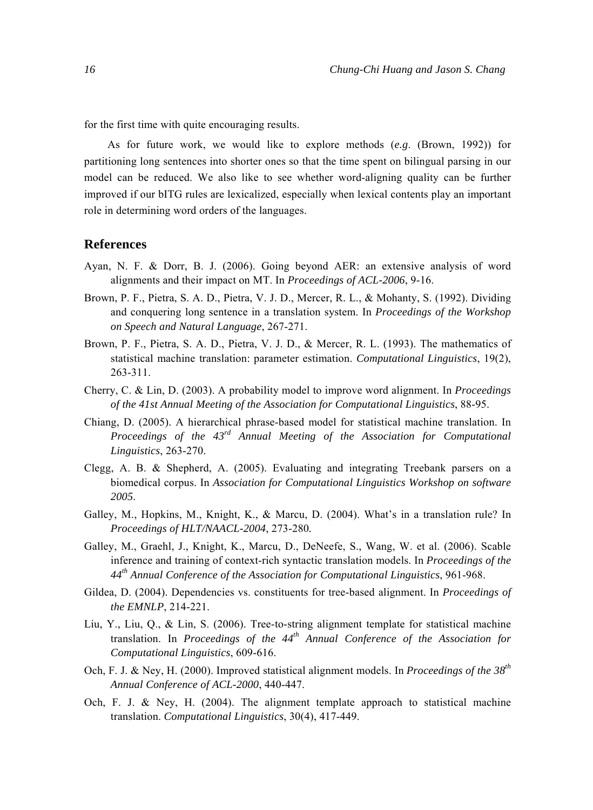for the first time with quite encouraging results.

As for future work, we would like to explore methods (*e.g*. (Brown, 1992)) for partitioning long sentences into shorter ones so that the time spent on bilingual parsing in our model can be reduced. We also like to see whether word-aligning quality can be further improved if our bITG rules are lexicalized, especially when lexical contents play an important role in determining word orders of the languages.

#### **References**

- Ayan, N. F. & Dorr, B. J. (2006). Going beyond AER: an extensive analysis of word alignments and their impact on MT. In *Proceedings of ACL-2006*, 9-16.
- Brown, P. F., Pietra, S. A. D., Pietra, V. J. D., Mercer, R. L., & Mohanty, S. (1992). Dividing and conquering long sentence in a translation system. In *Proceedings of the Workshop on Speech and Natural Language*, 267-271.
- Brown, P. F., Pietra, S. A. D., Pietra, V. J. D., & Mercer, R. L. (1993). The mathematics of statistical machine translation: parameter estimation. *Computational Linguistics*, 19(2), 263-311.
- Cherry, C. & Lin, D. (2003). A probability model to improve word alignment. In *Proceedings of the 41st Annual Meeting of the Association for Computational Linguistics*, 88-95.
- Chiang, D. (2005). A hierarchical phrase-based model for statistical machine translation. In *Proceedings of the 43rd Annual Meeting of the Association for Computational Linguistics*, 263-270.
- Clegg, A. B. & Shepherd, A. (2005). Evaluating and integrating Treebank parsers on a biomedical corpus. In *Association for Computational Linguistics Workshop on software 2005*.
- Galley, M., Hopkins, M., Knight, K., & Marcu, D. (2004). What's in a translation rule? In *Proceedings of HLT/NAACL-2004*, 273-280*.*
- Galley, M., Graehl, J., Knight, K., Marcu, D., DeNeefe, S., Wang, W. et al. (2006). Scable inference and training of context-rich syntactic translation models. In *Proceedings of the 44th Annual Conference of the Association for Computational Linguistics*, 961-968.
- Gildea, D. (2004). Dependencies vs. constituents for tree-based alignment. In *Proceedings of the EMNLP*, 214-221.
- Liu, Y., Liu, Q., & Lin, S. (2006). Tree-to-string alignment template for statistical machine translation. In *Proceedings of the 44th Annual Conference of the Association for Computational Linguistics*, 609-616.
- Och, F. J. & Ney, H. (2000). Improved statistical alignment models. In *Proceedings of the 38th Annual Conference of ACL-2000*, 440-447.
- Och, F. J. & Ney, H. (2004). The alignment template approach to statistical machine translation. *Computational Linguistics*, 30(4), 417-449.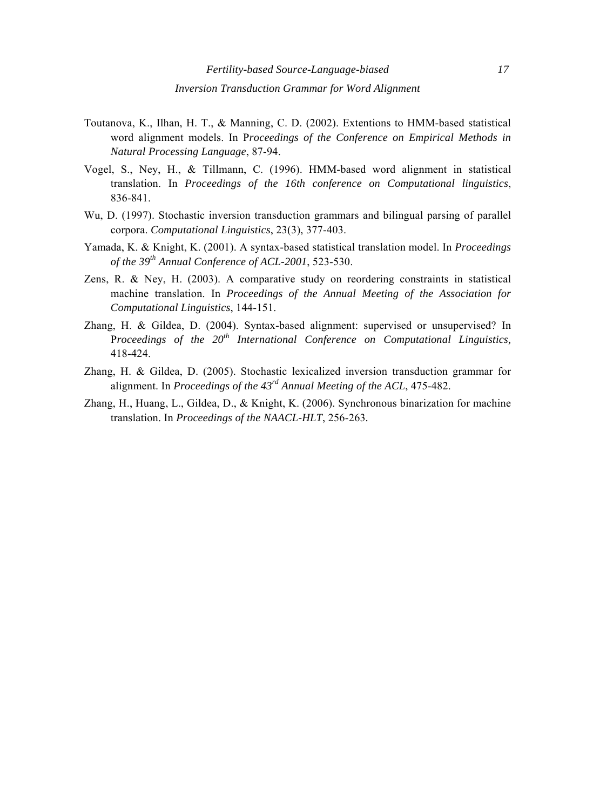- Toutanova, K., Ilhan, H. T., & Manning, C. D. (2002). Extentions to HMM-based statistical word alignment models. In P*roceedings of the Conference on Empirical Methods in Natural Processing Language*, 87-94.
- Vogel, S., Ney, H., & Tillmann, C. (1996). HMM-based word alignment in statistical translation. In *Proceedings of the 16th conference on Computational linguistics*, 836-841.
- Wu, D. (1997). Stochastic inversion transduction grammars and bilingual parsing of parallel corpora. *Computational Linguistics*, 23(3), 377-403.
- Yamada, K. & Knight, K. (2001). A syntax-based statistical translation model. In *Proceedings of the 39th Annual Conference of ACL-2001*, 523-530.
- Zens, R. & Ney, H. (2003). A comparative study on reordering constraints in statistical machine translation. In *Proceedings of the Annual Meeting of the Association for Computational Linguistics*, 144-151.
- Zhang, H. & Gildea, D. (2004). Syntax-based alignment: supervised or unsupervised? In P*roceedings of the 20th International Conference on Computational Linguistics,*  418-424.
- Zhang, H. & Gildea, D. (2005). Stochastic lexicalized inversion transduction grammar for alignment. In *Proceedings of the 43rd Annual Meeting of the ACL*, 475-482.
- Zhang, H., Huang, L., Gildea, D., & Knight, K. (2006). Synchronous binarization for machine translation. In *Proceedings of the NAACL-HLT*, 256-263*.*